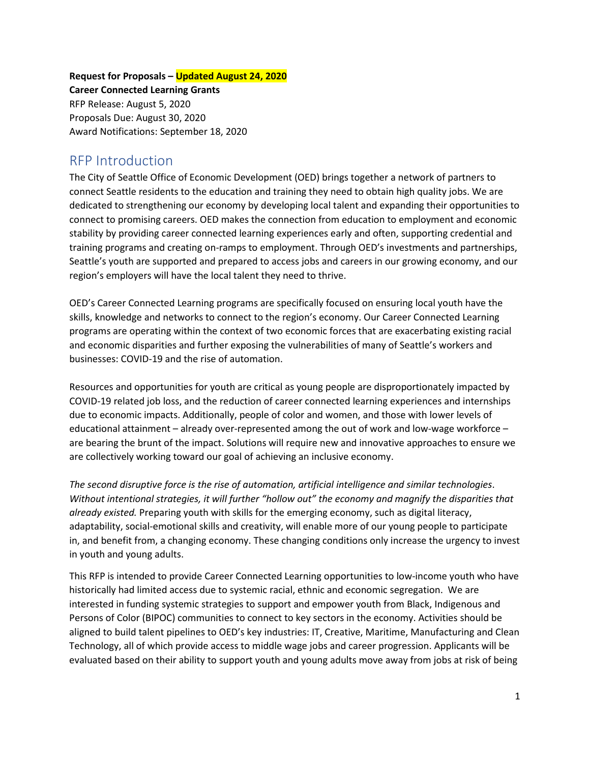**Request for Proposals – Updated August 24, 2020 Career Connected Learning Grants** RFP Release: August 5, 2020 Proposals Due: August 30, 2020 Award Notifications: September 18, 2020

## RFP Introduction

The City of Seattle Office of Economic Development (OED) brings together a network of partners to connect Seattle residents to the education and training they need to obtain high quality jobs. We are dedicated to strengthening our economy by developing local talent and expanding their opportunities to connect to promising careers. OED makes the connection from education to employment and economic stability by providing career connected learning experiences early and often, supporting credential and training programs and creating on-ramps to employment. Through OED's investments and partnerships, Seattle's youth are supported and prepared to access jobs and careers in our growing economy, and our region's employers will have the local talent they need to thrive.

OED's Career Connected Learning programs are specifically focused on ensuring local youth have the skills, knowledge and networks to connect to the region's economy. Our Career Connected Learning programs are operating within the context of two economic forces that are exacerbating existing racial and economic disparities and further exposing the vulnerabilities of many of Seattle's workers and businesses: COVID-19 and the rise of automation.

Resources and opportunities for youth are critical as young people are disproportionately impacted by COVID-19 related job loss, and the reduction of career connected learning experiences and internships due to economic impacts. Additionally, people of color and women, and those with lower levels of educational attainment – already over-represented among the out of work and low-wage workforce – are bearing the brunt of the impact. Solutions will require new and innovative approaches to ensure we are collectively working toward our goal of achieving an inclusive economy.

*The second disruptive force is the rise of automation, artificial intelligence and similar technologies*. *Without intentional strategies, it will further "hollow out" the economy and magnify the disparities that already existed.* Preparing youth with skills for the emerging economy, such as digital literacy, adaptability, social-emotional skills and creativity, will enable more of our young people to participate in, and benefit from, a changing economy. These changing conditions only increase the urgency to invest in youth and young adults.

This RFP is intended to provide Career Connected Learning opportunities to low-income youth who have historically had limited access due to systemic racial, ethnic and economic segregation. We are interested in funding systemic strategies to support and empower youth from Black, Indigenous and Persons of Color (BIPOC) communities to connect to key sectors in the economy. Activities should be aligned to build talent pipelines to OED's key industries: IT, Creative, Maritime, Manufacturing and Clean Technology, all of which provide access to middle wage jobs and career progression. Applicants will be evaluated based on their ability to support youth and young adults move away from jobs at risk of being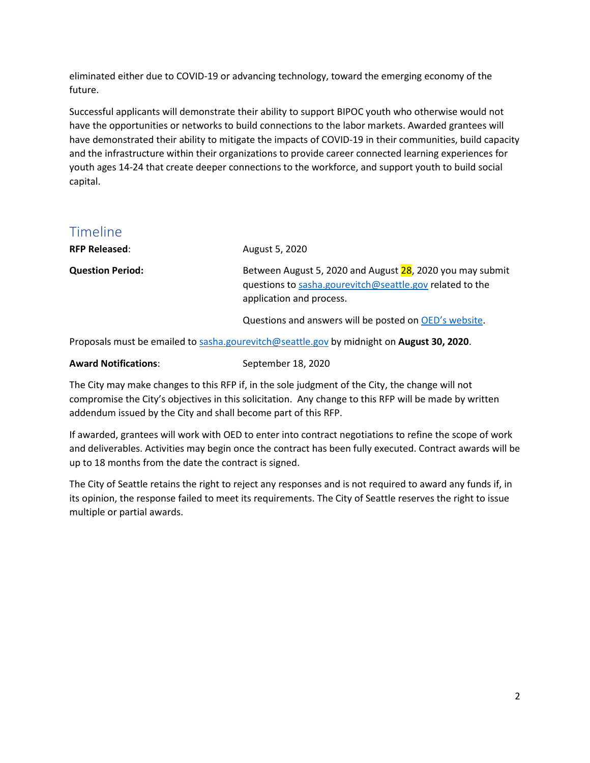eliminated either due to COVID-19 or advancing technology, toward the emerging economy of the future.

Successful applicants will demonstrate their ability to support BIPOC youth who otherwise would not have the opportunities or networks to build connections to the labor markets. Awarded grantees will have demonstrated their ability to mitigate the impacts of COVID-19 in their communities, build capacity and the infrastructure within their organizations to provide career connected learning experiences for youth ages 14-24 that create deeper connections to the workforce, and support youth to build social capital.

## Timeline

| <b>RFP Released:</b>    | August 5, 2020                                                                                                                                    |
|-------------------------|---------------------------------------------------------------------------------------------------------------------------------------------------|
| <b>Question Period:</b> | Between August 5, 2020 and August 28, 2020 you may submit<br>guestions to sasha.gourevitch@seattle.gov related to the<br>application and process. |
|                         | Questions and answers will be posted on OED's website.                                                                                            |

Proposals must be emailed to [sasha.gourevitch@seattle.gov](mailto:sasha.gourevitch@seattle.gov) by midnight on **August 30, 2020**.

| <b>Award Notifications:</b> | September 18, 2020 |
|-----------------------------|--------------------|
|                             |                    |

The City may make changes to this RFP if, in the sole judgment of the City, the change will not compromise the City's objectives in this solicitation. Any change to this RFP will be made by written addendum issued by the City and shall become part of this RFP.

If awarded, grantees will work with OED to enter into contract negotiations to refine the scope of work and deliverables. Activities may begin once the contract has been fully executed. Contract awards will be up to 18 months from the date the contract is signed.

The City of Seattle retains the right to reject any responses and is not required to award any funds if, in its opinion, the response failed to meet its requirements. The City of Seattle reserves the right to issue multiple or partial awards.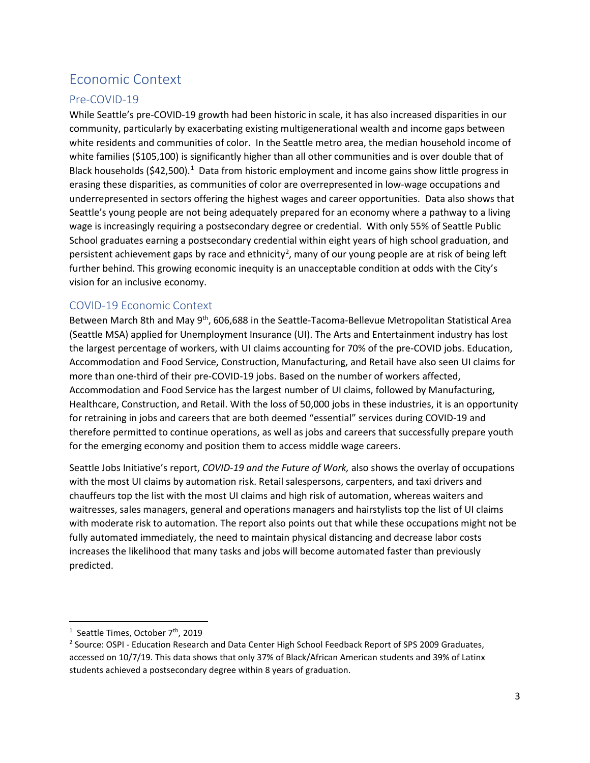# Economic Context

## Pre-COVID-19

While Seattle's pre-COVID-19 growth had been historic in scale, it has also increased disparities in our community, particularly by exacerbating existing multigenerational wealth and income gaps between white residents and communities of color. In the Seattle metro area, the median household income of white families (\$105,100) is significantly higher than all other communities and is over double that of Black households (\$42,500).<sup>[1](#page-2-0)</sup> Data from historic employment and income gains show little progress in erasing these disparities, as communities of color are overrepresented in low-wage occupations and underrepresented in sectors offering the highest wages and career opportunities. Data also shows that Seattle's young people are not being adequately prepared for an economy where a pathway to a living wage is increasingly requiring a postsecondary degree or credential. With only 55% of Seattle Public School graduates earning a postsecondary credential within eight years of high school graduation, and persistent achievement gaps by race and ethnicity<sup>[2](#page-2-1)</sup>, many of our young people are at risk of being left further behind. This growing economic inequity is an unacceptable condition at odds with the City's vision for an inclusive economy.

## COVID-19 Economic Context

Between March 8th and May 9th, 606,688 in the Seattle-Tacoma-Bellevue Metropolitan Statistical Area (Seattle MSA) applied for Unemployment Insurance (UI). The Arts and Entertainment industry has lost the largest percentage of workers, with UI claims accounting for 70% of the pre-COVID jobs. Education, Accommodation and Food Service, Construction, Manufacturing, and Retail have also seen UI claims for more than one-third of their pre-COVID-19 jobs. Based on the number of workers affected, Accommodation and Food Service has the largest number of UI claims, followed by Manufacturing, Healthcare, Construction, and Retail. With the loss of 50,000 jobs in these industries, it is an opportunity for retraining in jobs and careers that are both deemed "essential" services during COVID-19 and therefore permitted to continue operations, as well as jobs and careers that successfully prepare youth for the emerging economy and position them to access middle wage careers.

Seattle Jobs Initiative's report, *COVID-19 and the Future of Work,* also shows the overlay of occupations with the most UI claims by automation risk. Retail salespersons, carpenters, and taxi drivers and chauffeurs top the list with the most UI claims and high risk of automation, whereas waiters and waitresses, sales managers, general and operations managers and hairstylists top the list of UI claims with moderate risk to automation. The report also points out that while these occupations might not be fully automated immediately, the need to maintain physical distancing and decrease labor costs increases the likelihood that many tasks and jobs will become automated faster than previously predicted.

<span id="page-2-0"></span><sup>&</sup>lt;sup>1</sup> Seattle Times, October 7<sup>th</sup>, 2019

<span id="page-2-1"></span><sup>2</sup> Source: OSPI - Education Research and Data Center High School Feedback Report of SPS 2009 Graduates, accessed on 10/7/19. This data shows that only 37% of Black/African American students and 39% of Latinx students achieved a postsecondary degree within 8 years of graduation.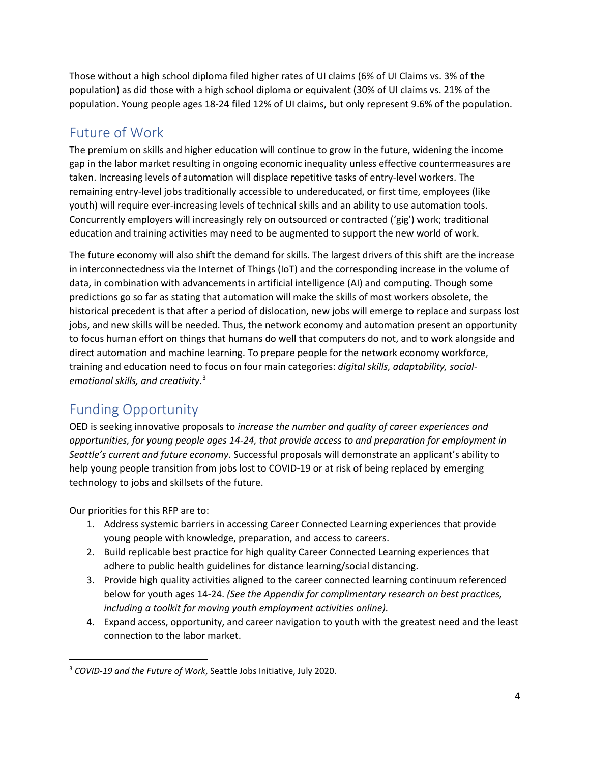Those without a high school diploma filed higher rates of UI claims (6% of UI Claims vs. 3% of the population) as did those with a high school diploma or equivalent (30% of UI claims vs. 21% of the population. Young people ages 18-24 filed 12% of UI claims, but only represent 9.6% of the population.

# Future of Work

The premium on skills and higher education will continue to grow in the future, widening the income gap in the labor market resulting in ongoing economic inequality unless effective countermeasures are taken. Increasing levels of automation will displace repetitive tasks of entry-level workers. The remaining entry-level jobs traditionally accessible to undereducated, or first time, employees (like youth) will require ever-increasing levels of technical skills and an ability to use automation tools. Concurrently employers will increasingly rely on outsourced or contracted ('gig') work; traditional education and training activities may need to be augmented to support the new world of work.

The future economy will also shift the demand for skills. The largest drivers of this shift are the increase in interconnectedness via the Internet of Things (IoT) and the corresponding increase in the volume of data, in combination with advancements in artificial intelligence (AI) and computing. Though some predictions go so far as stating that automation will make the skills of most workers obsolete, the historical precedent is that after a period of dislocation, new jobs will emerge to replace and surpass lost jobs, and new skills will be needed. Thus, the network economy and automation present an opportunity to focus human effort on things that humans do well that computers do not, and to work alongside and direct automation and machine learning. To prepare people for the network economy workforce, training and education need to focus on four main categories: *digital skills, adaptability, socialemotional skills, and creativity*. [3](#page-3-0)

# Funding Opportunity

OED is seeking innovative proposals to *increase the number and quality of career experiences and opportunities, for young people ages 14-24, that provide access to and preparation for employment in Seattle's current and future economy*. Successful proposals will demonstrate an applicant's ability to help young people transition from jobs lost to COVID-19 or at risk of being replaced by emerging technology to jobs and skillsets of the future.

Our priorities for this RFP are to:

- 1. Address systemic barriers in accessing Career Connected Learning experiences that provide young people with knowledge, preparation, and access to careers.
- 2. Build replicable best practice for high quality Career Connected Learning experiences that adhere to public health guidelines for distance learning/social distancing.
- 3. Provide high quality activities aligned to the career connected learning continuum referenced below for youth ages 14-24. *(See the Appendix for complimentary research on best practices, including a toolkit for moving youth employment activities online).*
- 4. Expand access, opportunity, and career navigation to youth with the greatest need and the least connection to the labor market.

<span id="page-3-0"></span><sup>3</sup> *COVID-19 and the Future of Work*, Seattle Jobs Initiative, July 2020.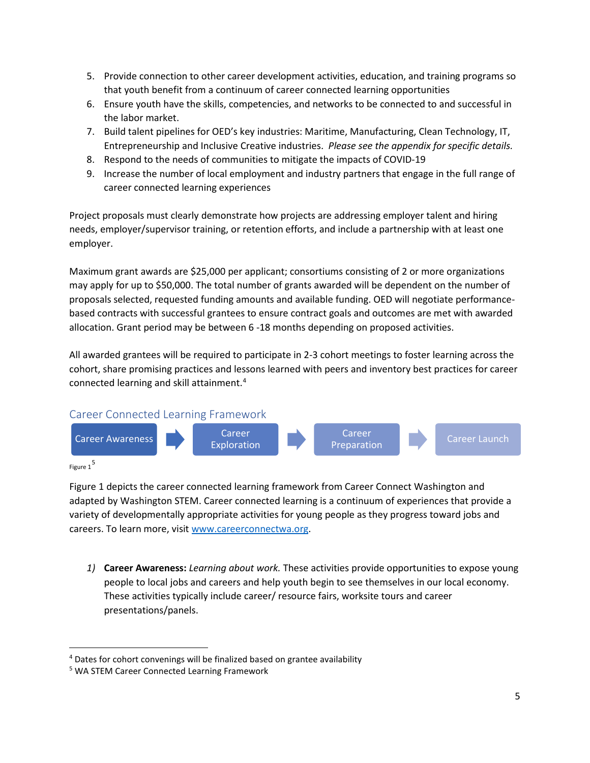- 5. Provide connection to other career development activities, education, and training programs so that youth benefit from a continuum of career connected learning opportunities
- 6. Ensure youth have the skills, competencies, and networks to be connected to and successful in the labor market.
- 7. Build talent pipelines for OED's key industries: Maritime, Manufacturing, Clean Technology, IT, Entrepreneurship and Inclusive Creative industries. *Please see the appendix for specific details.*
- 8. Respond to the needs of communities to mitigate the impacts of COVID-19
- 9. Increase the number of local employment and industry partners that engage in the full range of career connected learning experiences

Project proposals must clearly demonstrate how projects are addressing employer talent and hiring needs, employer/supervisor training, or retention efforts, and include a partnership with at least one employer.

Maximum grant awards are \$25,000 per applicant; consortiums consisting of 2 or more organizations may apply for up to \$50,000. The total number of grants awarded will be dependent on the number of proposals selected, requested funding amounts and available funding. OED will negotiate performancebased contracts with successful grantees to ensure contract goals and outcomes are met with awarded allocation. Grant period may be between 6 -18 months depending on proposed activities.

All awarded grantees will be required to participate in 2-3 cohort meetings to foster learning across the cohort, share promising practices and lessons learned with peers and inventory best practices for career connected learning and skill attainment. [4](#page-4-0)



Figure 1[5](#page-4-1)

Figure 1 depicts the career connected learning framework from Career Connect Washington and adapted by Washington STEM. Career connected learning is a continuum of experiences that provide a variety of developmentally appropriate activities for young people as they progress toward jobs and careers. To learn more, visi[t www.careerconnectwa.org.](http://www.careerconnectwa.org/)

*1)* **Career Awareness:** *Learning about work.* These activities provide opportunities to expose young people to local jobs and careers and help youth begin to see themselves in our local economy. These activities typically include career/ resource fairs, worksite tours and career presentations/panels.

<span id="page-4-0"></span><sup>&</sup>lt;sup>4</sup> Dates for cohort convenings will be finalized based on grantee availability

<span id="page-4-1"></span><sup>5</sup> WA STEM Career Connected Learning Framework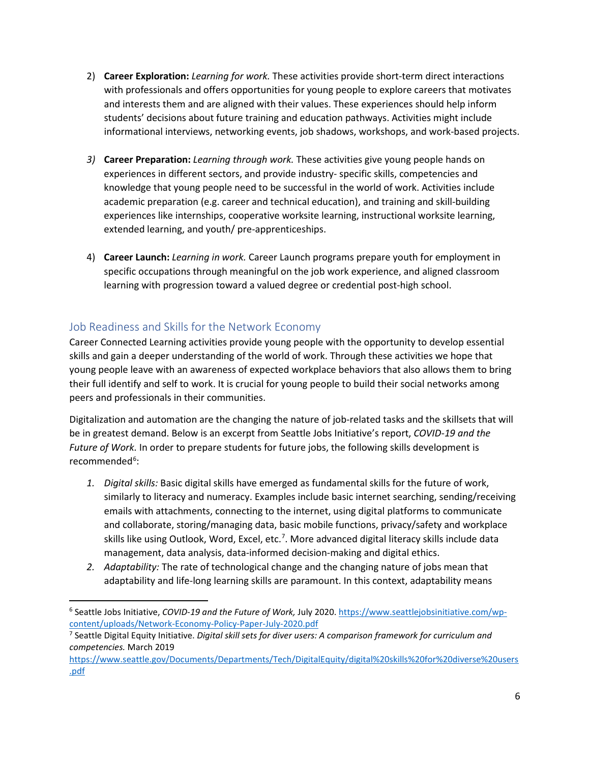- 2) **Career Exploration:** *Learning for work.* These activities provide short-term direct interactions with professionals and offers opportunities for young people to explore careers that motivates and interests them and are aligned with their values. These experiences should help inform students' decisions about future training and education pathways. Activities might include informational interviews, networking events, job shadows, workshops, and work-based projects.
- *3)* **Career Preparation:** *Learning through work.* These activities give young people hands on experiences in different sectors, and provide industry- specific skills, competencies and knowledge that young people need to be successful in the world of work. Activities include academic preparation (e.g. career and technical education), and training and skill-building experiences like internships, cooperative worksite learning, instructional worksite learning, extended learning, and youth/ pre-apprenticeships.
- 4) **Career Launch:** *Learning in work.* Career Launch programs prepare youth for employment in specific occupations through meaningful on the job work experience, and aligned classroom learning with progression toward a valued degree or credential post-high school.

## Job Readiness and Skills for the Network Economy

Career Connected Learning activities provide young people with the opportunity to develop essential skills and gain a deeper understanding of the world of work. Through these activities we hope that young people leave with an awareness of expected workplace behaviors that also allows them to bring their full identify and self to work. It is crucial for young people to build their social networks among peers and professionals in their communities.

Digitalization and automation are the changing the nature of job-related tasks and the skillsets that will be in greatest demand. Below is an excerpt from Seattle Jobs Initiative's report, *COVID-19 and the Future of Work.* In order to prepare students for future jobs, the following skills development is recommended<sup>[6](#page-5-0)</sup>:

- *1. Digital skills:* Basic digital skills have emerged as fundamental skills for the future of work, similarly to literacy and numeracy. Examples include basic internet searching, sending/receiving emails with attachments, connecting to the internet, using digital platforms to communicate and collaborate, storing/managing data, basic mobile functions, privacy/safety and workplace skills like using Outlook, Word, Excel, etc.<sup>7</sup>. More advanced digital literacy skills include data management, data analysis, data-informed decision-making and digital ethics.
- *2. Adaptability:* The rate of technological change and the changing nature of jobs mean that adaptability and life-long learning skills are paramount. In this context, adaptability means

<span id="page-5-0"></span><sup>6</sup> Seattle Jobs Initiative, *COVID-19 and the Future of Work,* July 2020[. https://www.seattlejobsinitiative.com/wp](https://www.seattlejobsinitiative.com/wp-content/uploads/Network-Economy-Policy-Paper-July-2020.pdf)[content/uploads/Network-Economy-Policy-Paper-July-2020.pdf](https://www.seattlejobsinitiative.com/wp-content/uploads/Network-Economy-Policy-Paper-July-2020.pdf)

<span id="page-5-1"></span><sup>7</sup> Seattle Digital Equity Initiative. *Digital skill sets for diver users: A comparison framework for curriculum and competencies.* March 2019

[https://www.seattle.gov/Documents/Departments/Tech/DigitalEquity/digital%20skills%20for%20diverse%20users](https://www.seattle.gov/Documents/Departments/Tech/DigitalEquity/digital%20skills%20for%20diverse%20users.pdf) [.pdf](https://www.seattle.gov/Documents/Departments/Tech/DigitalEquity/digital%20skills%20for%20diverse%20users.pdf)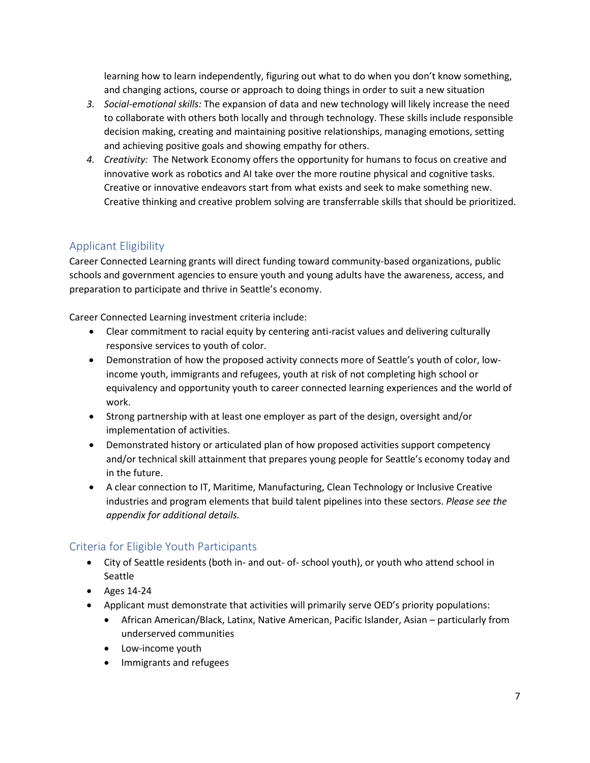learning how to learn independently, figuring out what to do when you don't know something, and changing actions, course or approach to doing things in order to suit a new situation

- *3. Social-emotional skills:* The expansion of data and new technology will likely increase the need to collaborate with others both locally and through technology. These skills include responsible decision making, creating and maintaining positive relationships, managing emotions, setting and achieving positive goals and showing empathy for others.
- *4. Creativity:* The Network Economy offers the opportunity for humans to focus on creative and innovative work as robotics and AI take over the more routine physical and cognitive tasks. Creative or innovative endeavors start from what exists and seek to make something new. Creative thinking and creative problem solving are transferrable skills that should be prioritized.

## Applicant Eligibility

Career Connected Learning grants will direct funding toward community-based organizations, public schools and government agencies to ensure youth and young adults have the awareness, access, and preparation to participate and thrive in Seattle's economy.

Career Connected Learning investment criteria include:

- Clear commitment to racial equity by centering anti-racist values and delivering culturally responsive services to youth of color.
- Demonstration of how the proposed activity connects more of Seattle's youth of color, lowincome youth, immigrants and refugees, youth at risk of not completing high school or equivalency and opportunity youth to career connected learning experiences and the world of work.
- Strong partnership with at least one employer as part of the design, oversight and/or implementation of activities.
- Demonstrated history or articulated plan of how proposed activities support competency and/or technical skill attainment that prepares young people for Seattle's economy today and in the future.
- A clear connection to IT, Maritime, Manufacturing, Clean Technology or Inclusive Creative industries and program elements that build talent pipelines into these sectors. *Please see the appendix for additional details.*

## Criteria for Eligible Youth Participants

- City of Seattle residents (both in- and out- of- school youth), or youth who attend school in Seattle
- Ages 14-24
- Applicant must demonstrate that activities will primarily serve OED's priority populations:
	- African American/Black, Latinx, Native American, Pacific Islander, Asian particularly from underserved communities
	- Low-income youth
	- Immigrants and refugees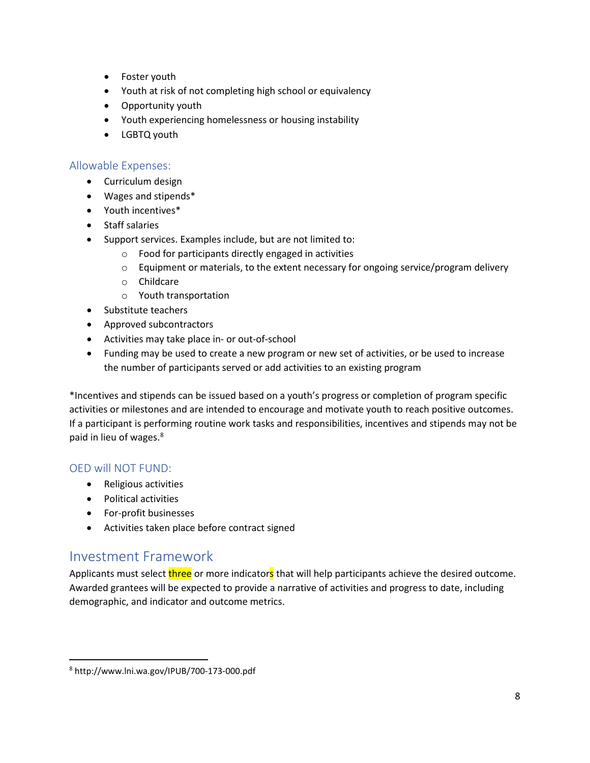- Foster youth
- Youth at risk of not completing high school or equivalency
- Opportunity youth
- Youth experiencing homelessness or housing instability
- LGBTQ youth

## Allowable Expenses:

- Curriculum design
- Wages and stipends\*
- Youth incentives\*
- Staff salaries
- Support services. Examples include, but are not limited to:
	- o Food for participants directly engaged in activities
	- $\circ$  Equipment or materials, to the extent necessary for ongoing service/program delivery
	- o Childcare
	- o Youth transportation
- Substitute teachers
- Approved subcontractors
- Activities may take place in- or out-of-school
- Funding may be used to create a new program or new set of activities, or be used to increase the number of participants served or add activities to an existing program

\*Incentives and stipends can be issued based on a youth's progress or completion of program specific activities or milestones and are intended to encourage and motivate youth to reach positive outcomes. If a participant is performing routine work tasks and responsibilities, incentives and stipends may not be paid in lieu of wages. [8](#page-7-0)

## OED will NOT FUND:

- Religious activities
- Political activities
- For-profit businesses
- Activities taken place before contract signed

## Investment Framework

Applicants must select three or more indicators that will help participants achieve the desired outcome. Awarded grantees will be expected to provide a narrative of activities and progress to date, including demographic, and indicator and outcome metrics.

<span id="page-7-0"></span><sup>8</sup> http://www.lni.wa.gov/IPUB/700-173-000.pdf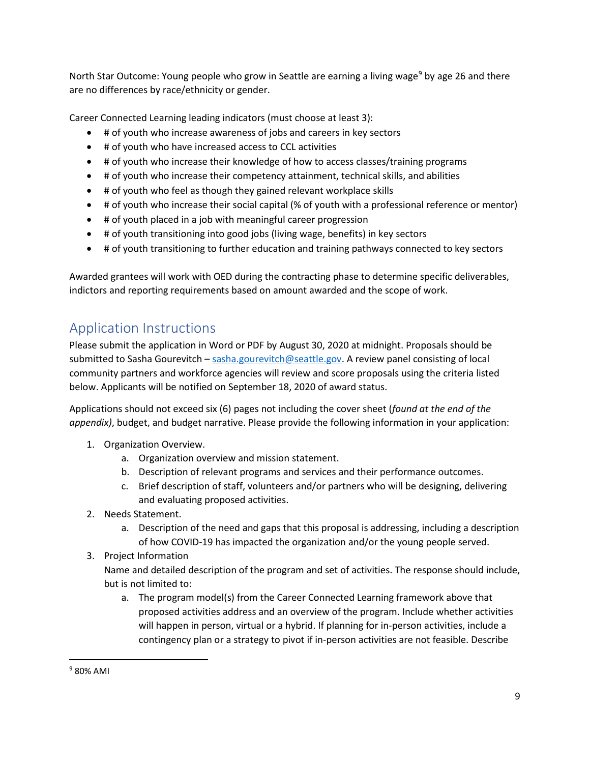North Star Outcome: Young people who grow in Seattle are earning a living wage<sup>[9](#page-8-0)</sup> by age 26 and there are no differences by race/ethnicity or gender.

Career Connected Learning leading indicators (must choose at least 3):

- # of youth who increase awareness of jobs and careers in key sectors
- # of youth who have increased access to CCL activities
- # of youth who increase their knowledge of how to access classes/training programs
- # of youth who increase their competency attainment, technical skills, and abilities
- # of youth who feel as though they gained relevant workplace skills
- # of youth who increase their social capital (% of youth with a professional reference or mentor)
- # of youth placed in a job with meaningful career progression
- # of youth transitioning into good jobs (living wage, benefits) in key sectors
- # of youth transitioning to further education and training pathways connected to key sectors

Awarded grantees will work with OED during the contracting phase to determine specific deliverables, indictors and reporting requirements based on amount awarded and the scope of work.

## Application Instructions

Please submit the application in Word or PDF by August 30, 2020 at midnight. Proposals should be submitted to Sasha Gourevitch - [sasha.gourevitch@seattle.gov.](mailto:sasha.gourevitch@seattle.gov) A review panel consisting of local community partners and workforce agencies will review and score proposals using the criteria listed below. Applicants will be notified on September 18, 2020 of award status.

Applications should not exceed six (6) pages not including the cover sheet (*found at the end of the appendix)*, budget, and budget narrative. Please provide the following information in your application:

- 1. Organization Overview.
	- a. Organization overview and mission statement.
	- b. Description of relevant programs and services and their performance outcomes.
	- c. Brief description of staff, volunteers and/or partners who will be designing, delivering and evaluating proposed activities.
- 2. Needs Statement.
	- a. Description of the need and gaps that this proposal is addressing, including a description of how COVID-19 has impacted the organization and/or the young people served.
- 3. Project Information

Name and detailed description of the program and set of activities. The response should include, but is not limited to:

a. The program model(s) from the Career Connected Learning framework above that proposed activities address and an overview of the program. Include whether activities will happen in person, virtual or a hybrid. If planning for in-person activities, include a contingency plan or a strategy to pivot if in-person activities are not feasible. Describe

<span id="page-8-0"></span> $9$  80% AMI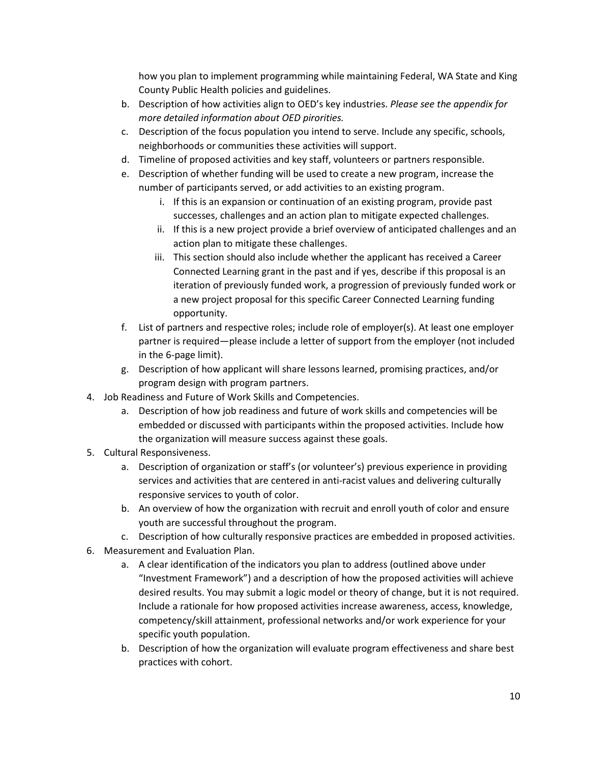how you plan to implement programming while maintaining Federal, WA State and King County Public Health policies and guidelines.

- b. Description of how activities align to OED's key industries. *Please see the appendix for more detailed information about OED pirorities.*
- c. Description of the focus population you intend to serve. Include any specific, schools, neighborhoods or communities these activities will support.
- d. Timeline of proposed activities and key staff, volunteers or partners responsible.
- e. Description of whether funding will be used to create a new program, increase the number of participants served, or add activities to an existing program.
	- i. If this is an expansion or continuation of an existing program, provide past successes, challenges and an action plan to mitigate expected challenges.
	- ii. If this is a new project provide a brief overview of anticipated challenges and an action plan to mitigate these challenges.
	- iii. This section should also include whether the applicant has received a Career Connected Learning grant in the past and if yes, describe if this proposal is an iteration of previously funded work, a progression of previously funded work or a new project proposal for this specific Career Connected Learning funding opportunity.
- f. List of partners and respective roles; include role of employer(s). At least one employer partner is required—please include a letter of support from the employer (not included in the 6-page limit).
- g. Description of how applicant will share lessons learned, promising practices, and/or program design with program partners.
- 4. Job Readiness and Future of Work Skills and Competencies.
	- a. Description of how job readiness and future of work skills and competencies will be embedded or discussed with participants within the proposed activities. Include how the organization will measure success against these goals.
- 5. Cultural Responsiveness.
	- a. Description of organization or staff's (or volunteer's) previous experience in providing services and activities that are centered in anti-racist values and delivering culturally responsive services to youth of color.
	- b. An overview of how the organization with recruit and enroll youth of color and ensure youth are successful throughout the program.
	- c. Description of how culturally responsive practices are embedded in proposed activities.
- 6. Measurement and Evaluation Plan.
	- a. A clear identification of the indicators you plan to address (outlined above under "Investment Framework") and a description of how the proposed activities will achieve desired results. You may submit a logic model or theory of change, but it is not required. Include a rationale for how proposed activities increase awareness, access, knowledge, competency/skill attainment, professional networks and/or work experience for your specific youth population.
	- b. Description of how the organization will evaluate program effectiveness and share best practices with cohort.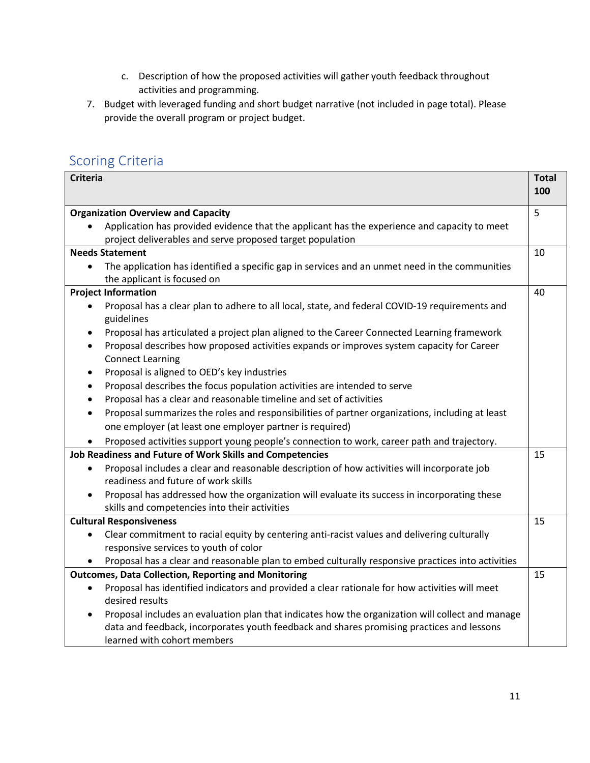- c. Description of how the proposed activities will gather youth feedback throughout activities and programming.
- 7. Budget with leveraged funding and short budget narrative (not included in page total). Please provide the overall program or project budget.

# Scoring Criteria

| <b>Criteria</b>                                                                                              | <b>Total</b><br>100 |
|--------------------------------------------------------------------------------------------------------------|---------------------|
| <b>Organization Overview and Capacity</b>                                                                    | 5                   |
| Application has provided evidence that the applicant has the experience and capacity to meet                 |                     |
| project deliverables and serve proposed target population                                                    |                     |
| <b>Needs Statement</b>                                                                                       | 10                  |
| The application has identified a specific gap in services and an unmet need in the communities               |                     |
| the applicant is focused on                                                                                  |                     |
| <b>Project Information</b>                                                                                   | 40                  |
| Proposal has a clear plan to adhere to all local, state, and federal COVID-19 requirements and               |                     |
| guidelines                                                                                                   |                     |
| Proposal has articulated a project plan aligned to the Career Connected Learning framework<br>$\bullet$      |                     |
| Proposal describes how proposed activities expands or improves system capacity for Career<br>$\bullet$       |                     |
| <b>Connect Learning</b>                                                                                      |                     |
| Proposal is aligned to OED's key industries<br>$\bullet$                                                     |                     |
| Proposal describes the focus population activities are intended to serve<br>$\bullet$                        |                     |
| Proposal has a clear and reasonable timeline and set of activities<br>$\bullet$                              |                     |
| Proposal summarizes the roles and responsibilities of partner organizations, including at least<br>$\bullet$ |                     |
| one employer (at least one employer partner is required)                                                     |                     |
| Proposed activities support young people's connection to work, career path and trajectory.                   |                     |
| Job Readiness and Future of Work Skills and Competencies                                                     |                     |
| Proposal includes a clear and reasonable description of how activities will incorporate job                  |                     |
| readiness and future of work skills                                                                          |                     |
| Proposal has addressed how the organization will evaluate its success in incorporating these                 |                     |
| skills and competencies into their activities                                                                |                     |
| <b>Cultural Responsiveness</b>                                                                               | 15                  |
| Clear commitment to racial equity by centering anti-racist values and delivering culturally                  |                     |
| responsive services to youth of color                                                                        |                     |
| Proposal has a clear and reasonable plan to embed culturally responsive practices into activities            |                     |
| <b>Outcomes, Data Collection, Reporting and Monitoring</b>                                                   | 15                  |
| Proposal has identified indicators and provided a clear rationale for how activities will meet<br>$\bullet$  |                     |
| desired results                                                                                              |                     |
| Proposal includes an evaluation plan that indicates how the organization will collect and manage             |                     |
| data and feedback, incorporates youth feedback and shares promising practices and lessons                    |                     |
| learned with cohort members                                                                                  |                     |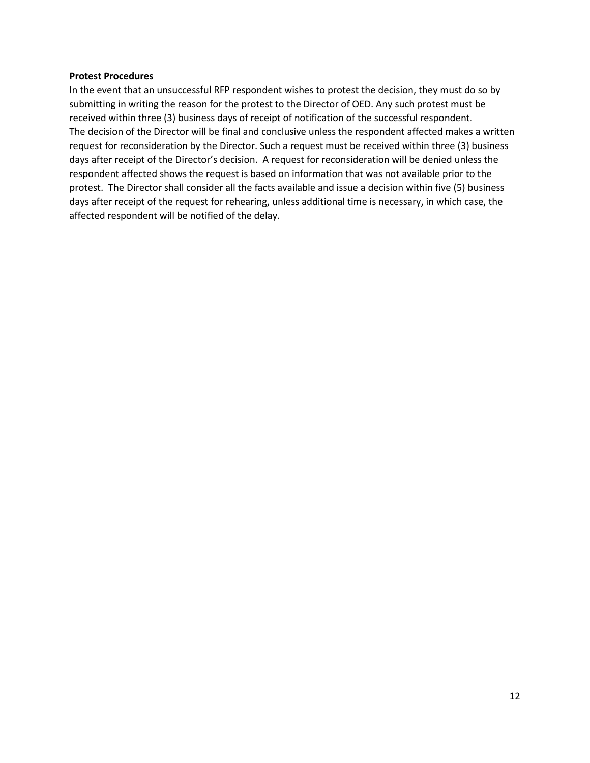#### **Protest Procedures**

In the event that an unsuccessful RFP respondent wishes to protest the decision, they must do so by submitting in writing the reason for the protest to the Director of OED. Any such protest must be received within three (3) business days of receipt of notification of the successful respondent. The decision of the Director will be final and conclusive unless the respondent affected makes a written request for reconsideration by the Director. Such a request must be received within three (3) business days after receipt of the Director's decision. A request for reconsideration will be denied unless the respondent affected shows the request is based on information that was not available prior to the protest. The Director shall consider all the facts available and issue a decision within five (5) business days after receipt of the request for rehearing, unless additional time is necessary, in which case, the affected respondent will be notified of the delay.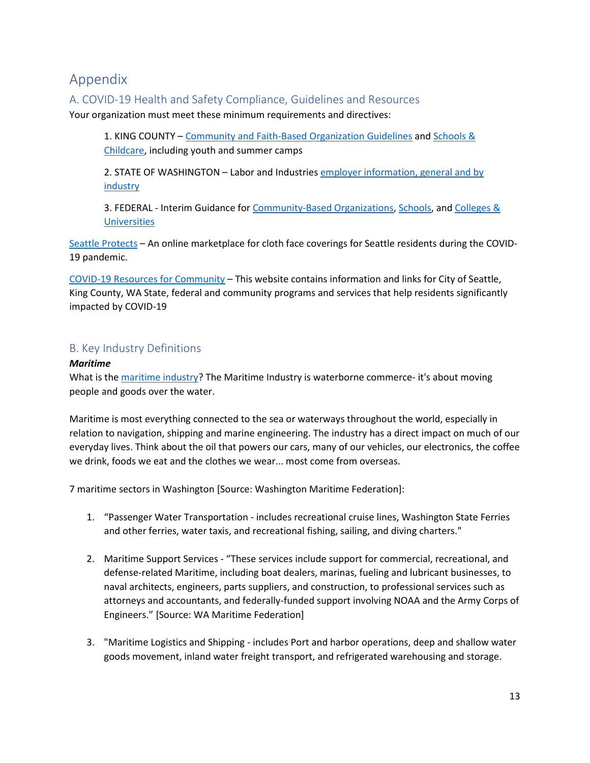## Appendix

### A. COVID-19 Health and Safety Compliance, Guidelines and Resources

Your organization must meet these minimum requirements and directives:

1. KING COUNTY – [Community and Faith-Based Organization Guidelines](https://www.kingcounty.gov/depts/health/covid-19/community-faith-organizations.aspx) and [Schools &](https://www.kingcounty.gov/depts/health/covid-19/schools-childcare.aspx)  [Childcare,](https://www.kingcounty.gov/depts/health/covid-19/schools-childcare.aspx) including youth and summer camps

2. STATE OF WASHINGTON – Labor and Industries [employer information, general and by](https://www.lni.wa.gov/safety-health/safety-topics/topics/coronavirus)  **[industry](https://www.lni.wa.gov/safety-health/safety-topics/topics/coronavirus)** 

3. FEDERAL - Interim Guidance for [Community-Based Organizations,](https://www.cdc.gov/coronavirus/2019-ncov/community/organizations/community-based.html) [Schools,](https://www.cdc.gov/coronavirus/2019-ncov/community/schools-childcare/index.html) and [Colleges &](https://www.cdc.gov/coronavirus/2019-ncov/community/colleges-universities/index.html)  **[Universities](https://www.cdc.gov/coronavirus/2019-ncov/community/colleges-universities/index.html)** 

[Seattle Protects](https://www.seattle.gov/mayor/covid-19/seattle-protects) – An online marketplace for cloth face coverings for Seattle residents during the COVID-19 pandemic.

[COVID-19 Resources for Community](https://www.seattle.gov/mayor/covid-19) – This website contains information and links for City of Seattle, King County, WA State, federal and community programs and services that help residents significantly impacted by COVID-19

## B. Key Industry Definitions

#### *Maritime*

What is th[e maritime industry?](https://youtu.be/jFKmtho5NOk) The Maritime Industry is waterborne commerce- it's about moving people and goods over the water.

Maritime is most everything connected to the sea or waterways throughout the world, especially in relation to navigation, shipping and marine engineering. The industry has a direct impact on much of our everyday lives. Think about the oil that powers our cars, many of our vehicles, our electronics, the coffee we drink, foods we eat and the clothes we wear... most come from overseas.

7 maritime sectors in Washington [Source: Washington Maritime Federation]:

- 1. "Passenger Water Transportation includes recreational cruise lines, Washington State Ferries and other ferries, water taxis, and recreational fishing, sailing, and diving charters."
- 2. Maritime Support Services "These services include support for commercial, recreational, and defense-related Maritime, including boat dealers, marinas, fueling and lubricant businesses, to naval architects, engineers, parts suppliers, and construction, to professional services such as attorneys and accountants, and federally-funded support involving NOAA and the Army Corps of Engineers." [Source: WA Maritime Federation]
- 3. "Maritime Logistics and Shipping includes Port and harbor operations, deep and shallow water goods movement, inland water freight transport, and refrigerated warehousing and storage.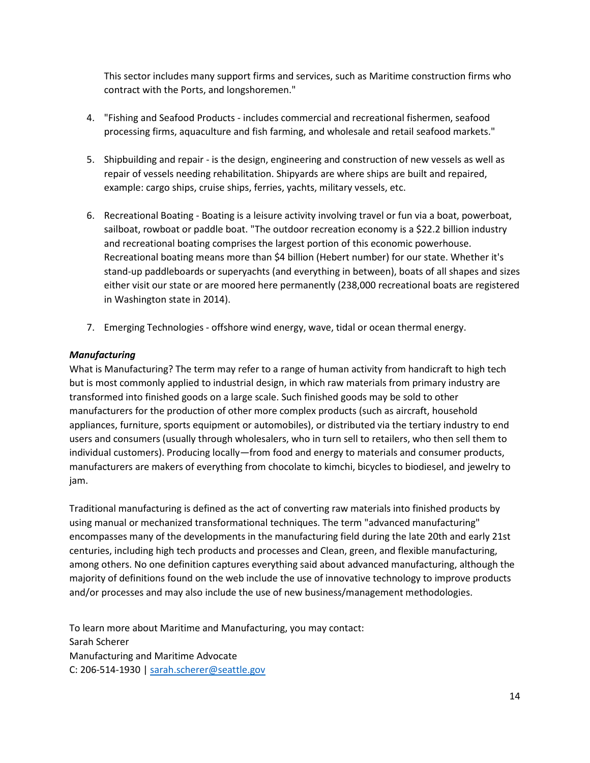This sector includes many support firms and services, such as Maritime construction firms who contract with the Ports, and longshoremen."

- 4. "Fishing and Seafood Products includes commercial and recreational fishermen, seafood processing firms, aquaculture and fish farming, and wholesale and retail seafood markets."
- 5. Shipbuilding and repair is the design, engineering and construction of new vessels as well as repair of vessels needing rehabilitation. Shipyards are where ships are built and repaired, example: cargo ships, cruise ships, ferries, yachts, military vessels, etc.
- 6. Recreational Boating Boating is a leisure activity involving travel or fun via a boat, powerboat, sailboat, rowboat or paddle boat. "The outdoor recreation economy is a \$22.2 billion industry and recreational boating comprises the largest portion of this economic powerhouse. Recreational boating means more than \$4 billion (Hebert number) for our state. Whether it's stand-up paddleboards or superyachts (and everything in between), boats of all shapes and sizes either visit our state or are moored here permanently (238,000 recreational boats are registered in Washington state in 2014).
- 7. Emerging Technologies offshore wind energy, wave, tidal or ocean thermal energy.

#### *Manufacturing*

What is Manufacturing? The term may refer to a range of human activity from handicraft to high tech but is most commonly applied to industrial design, in which raw materials from primary industry are transformed into finished goods on a large scale. Such finished goods may be sold to other manufacturers for the production of other more complex products (such as aircraft, household appliances, furniture, sports equipment or automobiles), or distributed via the tertiary industry to end users and consumers (usually through wholesalers, who in turn sell to retailers, who then sell them to individual customers). Producing locally—from food and energy to materials and consumer products, manufacturers are makers of everything from chocolate to kimchi, bicycles to biodiesel, and jewelry to jam.

Traditional manufacturing is defined as the act of converting raw materials into finished products by using manual or mechanized transformational techniques. The term "advanced manufacturing" encompasses many of the developments in the manufacturing field during the late 20th and early 21st centuries, including high tech products and processes and Clean, green, and flexible manufacturing, among others. No one definition captures everything said about advanced manufacturing, although the majority of definitions found on the web include the use of innovative technology to improve products and/or processes and may also include the use of new business/management methodologies.

To learn more about Maritime and Manufacturing, you may contact: Sarah Scherer Manufacturing and Maritime Advocate C: 206-514-1930 | [sarah.scherer@seattle.gov](mailto:sarah.scherer@seattle.gov)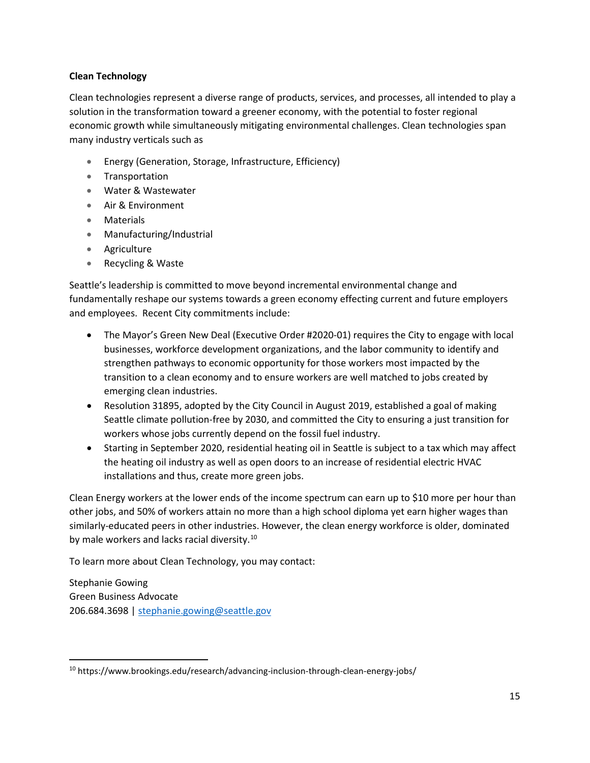#### **Clean Technology**

Clean technologies represent a diverse range of products, services, and processes, all intended to play a solution in the transformation toward a greener economy, with the potential to foster regional economic growth while simultaneously mitigating environmental challenges. Clean technologies span many industry verticals such as

- Energy (Generation, Storage, Infrastructure, Efficiency)
- Transportation
- Water & Wastewater
- Air & Environment
- Materials
- Manufacturing/Industrial
- Agriculture
- Recycling & Waste

Seattle's leadership is committed to move beyond incremental environmental change and fundamentally reshape our systems towards a green economy effecting current and future employers and employees. Recent City commitments include:

- The Mayor's Green New Deal (Executive Order #2020-01) requires the City to engage with local businesses, workforce development organizations, and the labor community to identify and strengthen pathways to economic opportunity for those workers most impacted by the transition to a clean economy and to ensure workers are well matched to jobs created by emerging clean industries.
- Resolution 31895, adopted by the City Council in August 2019, established a goal of making Seattle climate pollution-free by 2030, and committed the City to ensuring a just transition for workers whose jobs currently depend on the fossil fuel industry.
- Starting in September 2020, residential heating oil in Seattle is subject to a tax which may affect the heating oil industry as well as open doors to an increase of residential electric HVAC installations and thus, create more green jobs.

Clean Energy workers at the lower ends of the income spectrum can earn up to \$10 more per hour than other jobs, and 50% of workers attain no more than a high school diploma yet earn higher wages than similarly-educated peers in other industries. However, the clean energy workforce is older, dominated by male workers and lacks racial diversity.<sup>[10](#page-14-0)</sup>

To learn more about Clean Technology, you may contact:

Stephanie Gowing Green Business Advocate 206.684.3698 [| stephanie.gowing@seattle.gov](mailto:stephanie.gowing@seattle.gov)

<span id="page-14-0"></span><sup>&</sup>lt;sup>10</sup> https://www.brookings.edu/research/advancing-inclusion-through-clean-energy-jobs/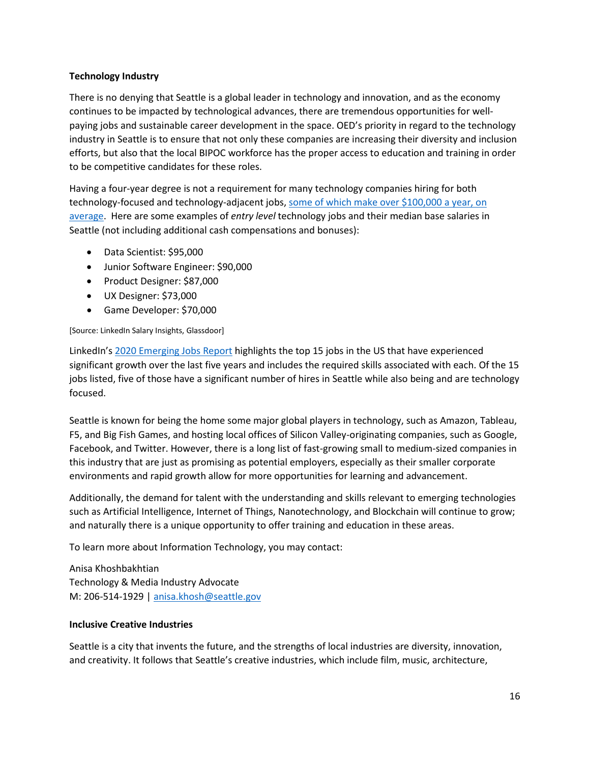#### **Technology Industry**

There is no denying that Seattle is a global leader in technology and innovation, and as the economy continues to be impacted by technological advances, there are tremendous opportunities for wellpaying jobs and sustainable career development in the space. OED's priority in regard to the technology industry in Seattle is to ensure that not only these companies are increasing their diversity and inclusion efforts, but also that the local BIPOC workforce has the proper access to education and training in order to be competitive candidates for these roles.

Having a four-year degree is not a requirement for many technology companies hiring for both technology-focused and technology-adjacent jobs, [some of which make over \\$100,000 a year, on](https://www.cnbc.com/2017/11/14/10-tech-jobs-that-pay-employees-without-a-college-degree-over-100000.html)  [average.](https://www.cnbc.com/2017/11/14/10-tech-jobs-that-pay-employees-without-a-college-degree-over-100000.html) Here are some examples of *entry level* technology jobs and their median base salaries in Seattle (not including additional cash compensations and bonuses):

- Data Scientist: \$95,000
- Junior Software Engineer: \$90,000
- Product Designer: \$87,000
- UX Designer: \$73,000
- Game Developer: \$70,000

#### [Source: LinkedIn Salary Insights, Glassdoor]

LinkedIn's [2020 Emerging Jobs Report](https://business.linkedin.com/content/dam/me/business/en-us/talent-solutions/emerging-jobs-report/Emerging_Jobs_Report_U.S._FINAL.pdf) highlights the top 15 jobs in the US that have experienced significant growth over the last five years and includes the required skills associated with each. Of the 15 jobs listed, five of those have a significant number of hires in Seattle while also being and are technology focused.

Seattle is known for being the home some major global players in technology, such as Amazon, Tableau, F5, and Big Fish Games, and hosting local offices of Silicon Valley-originating companies, such as Google, Facebook, and Twitter. However, there is a long list of fast-growing small to medium-sized companies in this industry that are just as promising as potential employers, especially as their smaller corporate environments and rapid growth allow for more opportunities for learning and advancement.

Additionally, the demand for talent with the understanding and skills relevant to emerging technologies such as Artificial Intelligence, Internet of Things, Nanotechnology, and Blockchain will continue to grow; and naturally there is a unique opportunity to offer training and education in these areas.

To learn more about Information Technology, you may contact:

Anisa Khoshbakhtian Technology & Media Industry Advocate M: 206-514-1929 | [anisa.khosh@seattle.gov](mailto:mailtoanisa.khosh@seattle.gov)

#### **Inclusive Creative Industries**

Seattle is a city that invents the future, and the strengths of local industries are diversity, innovation, and creativity. It follows that Seattle's creative industries, which include film, music, architecture,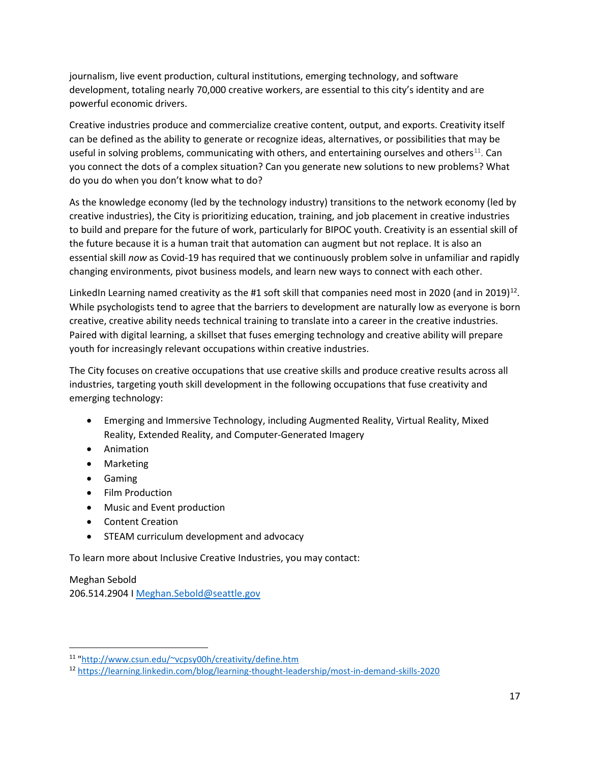journalism, live event production, cultural institutions, emerging technology, and software development, totaling nearly 70,000 creative workers, are essential to this city's identity and are powerful economic drivers.

Creative industries produce and commercialize creative content, output, and exports. Creativity itself can be defined as the ability to generate or recognize ideas, alternatives, or possibilities that may be useful in solving problems, communicating with others, and entertaining ourselves and others $^{11}$  $^{11}$  $^{11}$ . Can you connect the dots of a complex situation? Can you generate new solutions to new problems? What do you do when you don't know what to do?

As the knowledge economy (led by the technology industry) transitions to the network economy (led by creative industries), the City is prioritizing education, training, and job placement in creative industries to build and prepare for the future of work, particularly for BIPOC youth. Creativity is an essential skill of the future because it is a human trait that automation can augment but not replace. It is also an essential skill *now* as Covid-19 has required that we continuously problem solve in unfamiliar and rapidly changing environments, pivot business models, and learn new ways to connect with each other.

LinkedIn Learning named creativity as the #1 soft skill that companies need most in 2020 (and in 2019)<sup>12</sup>. While psychologists tend to agree that the barriers to development are naturally low as everyone is born creative, creative ability needs technical training to translate into a career in the creative industries. Paired with digital learning, a skillset that fuses emerging technology and creative ability will prepare youth for increasingly relevant occupations within creative industries.

The City focuses on creative occupations that use creative skills and produce creative results across all industries, targeting youth skill development in the following occupations that fuse creativity and emerging technology:

- Emerging and Immersive Technology, including Augmented Reality, Virtual Reality, Mixed Reality, Extended Reality, and Computer-Generated Imagery
- Animation
- Marketing
- Gaming
- Film Production
- Music and Event production
- Content Creation
- STEAM curriculum development and advocacy

To learn more about Inclusive Creative Industries, you may contact:

Meghan Sebold 206.514.2904 I [Meghan.Sebold@seattle.gov](mailto:Meghan.Sebold@seattle.gov)

<span id="page-16-0"></span><sup>11</sup> "http://www.csun.edu/~vcpsy00h/creativity/define.htm

<span id="page-16-1"></span><sup>12</sup> <https://learning.linkedin.com/blog/learning-thought-leadership/most-in-demand-skills-2020>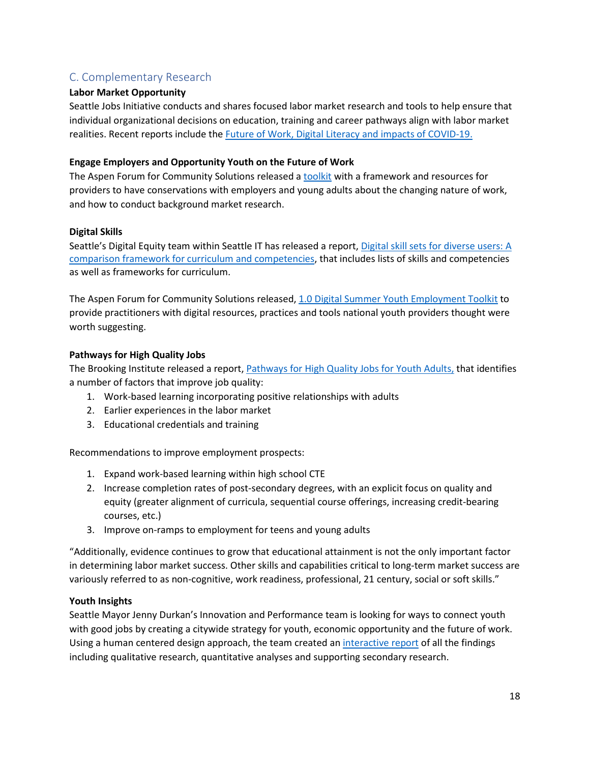## C. Complementary Research

#### **Labor Market Opportunity**

Seattle Jobs Initiative conducts and shares focused labor market research and tools to help ensure that individual organizational decisions on education, training and career pathways align with labor market realities. Recent reports include the [Future of Work, Digital Literacy and impacts of COVID-19.](https://www.seattlejobsinitiative.com/low-income-research-and-innovations/labor-market-research/labor-market-economy/)

#### **Engage Employers and Opportunity Youth on the Future of Work**

The Aspen Forum for Community Solutions released a [toolkit](https://aspencommunitysolutions.org/wp-content/uploads/2019/10/A-Toolkit-to-Engage-Employers-and-Opportunity-Youth-on-the-Future-of-Work.pdf) with a framework and resources for providers to have conservations with employers and young adults about the changing nature of work, and how to conduct background market research.

#### **Digital Skills**

Seattle's Digital Equity team within Seattle IT has released a report[, Digital skill sets for diverse](https://www.seattle.gov/Documents/Departments/Tech/DigitalEquity/digital%20skills%20for%20diverse%20users.pdf) users: A [comparison framework for curriculum and competencies,](https://www.seattle.gov/Documents/Departments/Tech/DigitalEquity/digital%20skills%20for%20diverse%20users.pdf) that includes lists of skills and competencies as well as frameworks for curriculum.

The Aspen Forum for Community Solutions released, [1.0 Digital Summer Youth Employment Toolkit](https://aspencommunitysolutions.org/wp-content/uploads/2020/06/SYEP-Digital-Toolkit.pdf) to provide practitioners with digital resources, practices and tools national youth providers thought were worth suggesting.

#### **Pathways for High Quality Jobs**

The Brooking Institute released a report[, Pathways for High Quality Jobs for Youth Adults,](https://www.brookings.edu/research/pathways-to-high-quality-jobs-for-young-adults/) that identifies a number of factors that improve job quality:

- 1. Work-based learning incorporating positive relationships with adults
- 2. Earlier experiences in the labor market
- 3. Educational credentials and training

Recommendations to improve employment prospects:

- 1. Expand work-based learning within high school CTE
- 2. Increase completion rates of post-secondary degrees, with an explicit focus on quality and equity (greater alignment of curricula, sequential course offerings, increasing credit-bearing courses, etc.)
- 3. Improve on-ramps to employment for teens and young adults

"Additionally, evidence continues to grow that educational attainment is not the only important factor in determining labor market success. Other skills and capabilities critical to long-term market success are variously referred to as non-cognitive, work readiness, professional, 21 century, social or soft skills."

#### **Youth Insights**

Seattle Mayor Jenny Durkan's Innovation and Performance team is looking for ways to connect youth with good jobs by creating a citywide strategy for youth, economic opportunity and the future of work. Using a human centered design approach, the team created an [interactive report](https://indd.adobe.com/view/aca4df09-8763-443d-a2c8-b95c9af75596) of all the findings including qualitative research, quantitative analyses and supporting secondary research.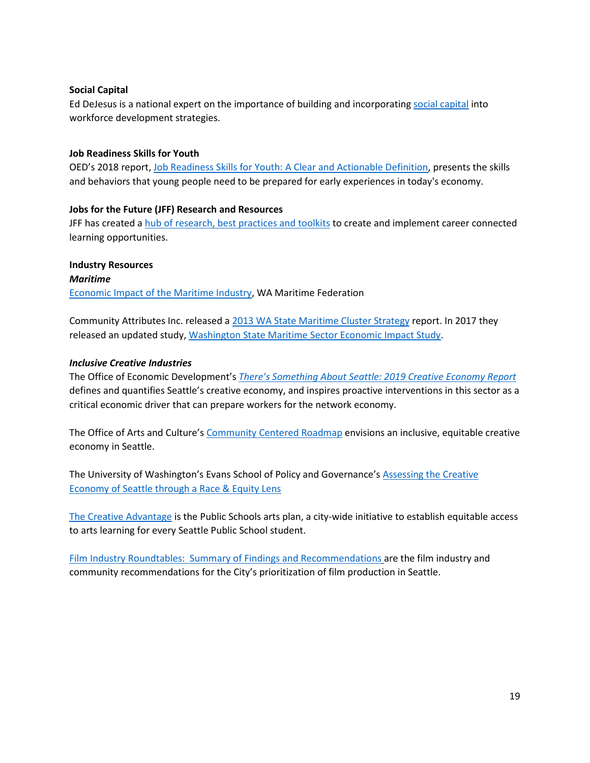#### **Social Capital**

Ed DeJesus is a national expert on the importance of building and incorporating [social capital](https://www.edwarddejesus.com/blank-page-1) into workforce development strategies.

#### **Job Readiness Skills for Youth**

OED's 2018 report, Job Readiness Skills for Youth: A Clear and Actionable Definition, presents the skills and behaviors that young people need to be prepared for early experiences in today's economy.

#### **Jobs for the Future (JFF) Research and Resources**

JFF has created a [hub of research, best practices and toolkits](https://www.jff.org/resources/page/1/) to create and implement career connected learning opportunities.

#### **Industry Resources** *Maritime*  [Economic Impact of the Maritime](https://www.maritimefederation.com/uploads/2/9/9/6/29962189/maritime_study_infographic_2017_update.pdf) Industry, WA Maritime Federation

Community Attributes Inc. released a [2013 WA State Maritime Cluster Strategy](https://www.maritimefederation.com/uploads/2/9/9/6/29962189/cai.wa-maritime-cluster-study.2013-1120.pdf) report. In 2017 they released an updated study, [Washington State Maritime Sector Economic Impact Study.](https://www.maritimefederation.com/uploads/2/9/9/6/29962189/cai.wmf.maritime_cluster_study_2017_update.2017_0413.pdf)

#### *Inclusive Creative Industries*

The Office of Economic Development's *[There's Something About Seattle: 2019 Creative Economy Report](https://www.seattle.gov/Documents/Departments/FilmAndMusic/Creative%20Economy%20Report%20Final.pdf)* defines and quantifies Seattle's creative economy, and inspires proactive interventions in this sector as a critical economic driver that can prepare workers for the network economy.

The Office of Arts and Culture's [Community Centered Roadmap](http://www.seattle.gov/Documents/Departments/Arts/Downloads/reports/creative%20economy%20road%20map%20report_web.pdf) envisions an inclusive, equitable creative economy in Seattle.

The University of Washington's Evans School of Policy and Governance's Assessing the Creative [Economy of Seattle through](http://www.seattle.gov/Documents/Departments/Arts/Downloads/reports/creative%20economy%20road%20map%20report_web.pdf) a Race & Equity Lens

[The Creative Advantage](https://www.seattleschools.org/academics/curriculum/arts/the_creative_advantage) is the Public Schools arts plan, a city-wide initiative to establish equitable access to arts learning for every Seattle Public School student.

[Film Industry Roundtables: Summary of Findings and Recommendations](http://www.seattle.gov/Documents/Departments/FilmAndMusic/Creative_Industry/2019FilmFocusGroup_SummaryofFindingsandRecommendations.pdf) are the film industry and community recommendations for the City's prioritization of film production in Seattle.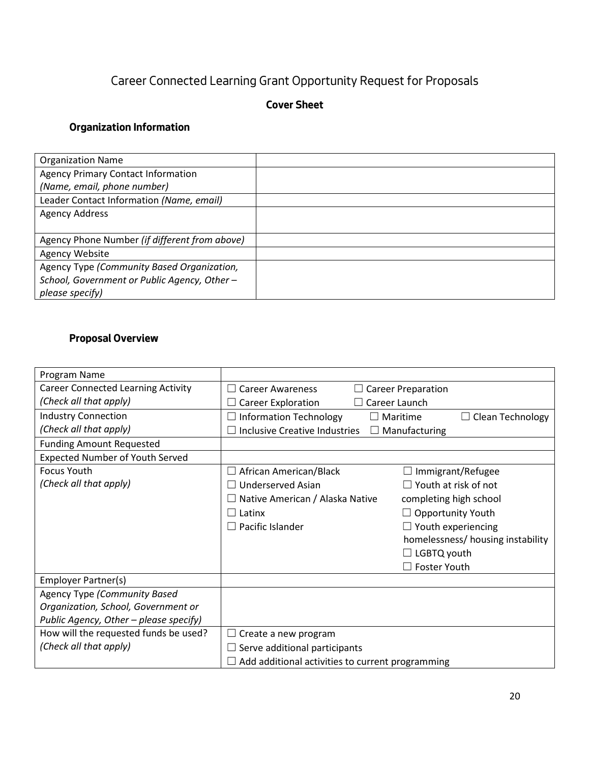# Career Connected Learning Grant Opportunity Request for Proposals

## **Cover Sheet**

## **Organization Information**

| <b>Organization Name</b>                      |  |
|-----------------------------------------------|--|
| <b>Agency Primary Contact Information</b>     |  |
| (Name, email, phone number)                   |  |
| Leader Contact Information (Name, email)      |  |
| <b>Agency Address</b>                         |  |
|                                               |  |
| Agency Phone Number (if different from above) |  |
| Agency Website                                |  |
| Agency Type (Community Based Organization,    |  |
| School, Government or Public Agency, Other-   |  |
| please specify)                               |  |

## **Proposal Overview**

| Program Name                              |                                                  |                                     |
|-------------------------------------------|--------------------------------------------------|-------------------------------------|
| <b>Career Connected Learning Activity</b> | <b>Career Awareness</b>                          | $\Box$ Career Preparation           |
| (Check all that apply)                    | Career Exploration<br>$\Box$ Career Launch       |                                     |
| <b>Industry Connection</b>                | <b>Information Technology</b>                    | $\Box$ Maritime<br>Clean Technology |
| (Check all that apply)                    | <b>Inclusive Creative Industries</b>             | $\Box$ Manufacturing                |
| <b>Funding Amount Requested</b>           |                                                  |                                     |
| <b>Expected Number of Youth Served</b>    |                                                  |                                     |
| <b>Focus Youth</b>                        | African American/Black                           | Immigrant/Refugee                   |
| (Check all that apply)                    | Underserved Asian                                | Youth at risk of not                |
|                                           | $\Box$ Native American / Alaska Native           | completing high school              |
|                                           | $\Box$ Latinx                                    | <b>Opportunity Youth</b>            |
|                                           | $\Box$ Pacific Islander                          | $\Box$ Youth experiencing           |
|                                           |                                                  | homelessness/ housing instability   |
|                                           |                                                  | $\Box$ LGBTQ youth                  |
|                                           |                                                  | $\Box$ Foster Youth                 |
| Employer Partner(s)                       |                                                  |                                     |
| <b>Agency Type (Community Based</b>       |                                                  |                                     |
| Organization, School, Government or       |                                                  |                                     |
| Public Agency, Other - please specify)    |                                                  |                                     |
| How will the requested funds be used?     | Create a new program                             |                                     |
| (Check all that apply)                    | Serve additional participants                    |                                     |
|                                           | Add additional activities to current programming |                                     |